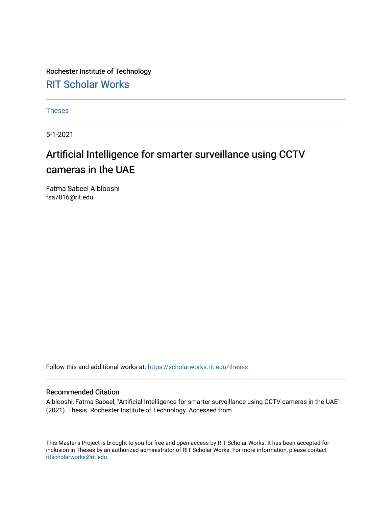Rochester Institute of Technology [RIT Scholar Works](https://scholarworks.rit.edu/)

[Theses](https://scholarworks.rit.edu/theses) 

5-1-2021

## Artificial Intelligence for smarter surveillance using CCTV cameras in the UAE

Fatma Sabeel Alblooshi fsa7816@rit.edu

Follow this and additional works at: [https://scholarworks.rit.edu/theses](https://scholarworks.rit.edu/theses?utm_source=scholarworks.rit.edu%2Ftheses%2F11091&utm_medium=PDF&utm_campaign=PDFCoverPages) 

#### Recommended Citation

Alblooshi, Fatma Sabeel, "Artificial Intelligence for smarter surveillance using CCTV cameras in the UAE" (2021). Thesis. Rochester Institute of Technology. Accessed from

This Master's Project is brought to you for free and open access by RIT Scholar Works. It has been accepted for inclusion in Theses by an authorized administrator of RIT Scholar Works. For more information, please contact [ritscholarworks@rit.edu](mailto:ritscholarworks@rit.edu).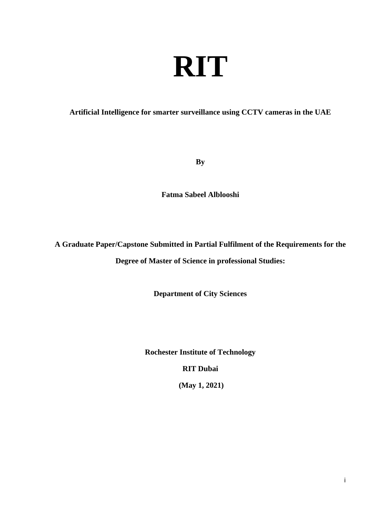# **RIT**

#### **Artificial Intelligence for smarter surveillance using CCTV cameras in the UAE**

**By**

**Fatma Sabeel Alblooshi**

**A Graduate Paper/Capstone Submitted in Partial Fulfilment of the Requirements for the**

**Degree of Master of Science in professional Studies:**

**Department of City Sciences**

**Rochester Institute of Technology**

**RIT Dubai**

**(May 1, 2021)**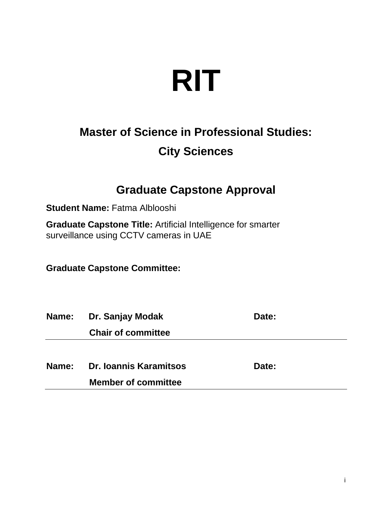# **RIT**

# **Master of Science in Professional Studies: City Sciences**

## **Graduate Capstone Approval**

**Student Name: Fatma Alblooshi** 

**Graduate Capstone Title:** Artificial Intelligence for smarter surveillance using CCTV cameras in UAE

**Graduate Capstone Committee:** 

| <b>Name:</b> | Dr. Sanjay Modak          | Date: |  |  |
|--------------|---------------------------|-------|--|--|
|              | <b>Chair of committee</b> |       |  |  |
|              |                           |       |  |  |
| Name:        | Dr. Ioannis Karamitsos    | Date: |  |  |

**Member of committee**

i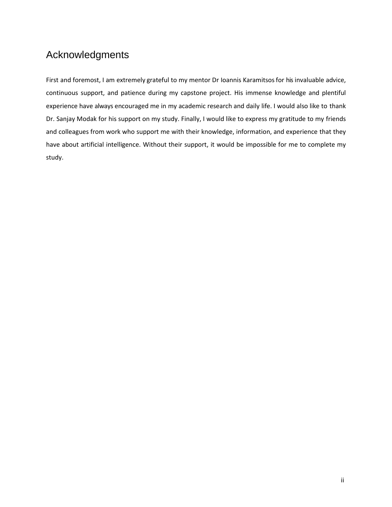## <span id="page-3-0"></span>Acknowledgments

First and foremost, I am extremely grateful to my mentor Dr Ioannis Karamitsos for his invaluable advice, continuous support, and patience during my capstone project. His immense knowledge and plentiful experience have always encouraged me in my academic research and daily life. I would also like to thank Dr. Sanjay Modak for his support on my study. Finally, I would like to express my gratitude to my friends and colleagues from work who support me with their knowledge, information, and experience that they have about artificial intelligence. Without their support, it would be impossible for me to complete my study.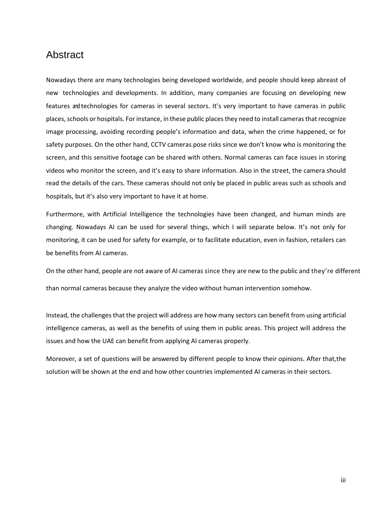## <span id="page-4-0"></span>Abstract

Nowadays there are many technologies being developed worldwide, and people should keep abreast of new technologies and developments. In addition, many companies are focusing on developing new features andtechnologies for cameras in several sectors. It's very important to have cameras in public places, schools or hospitals. For instance, in these public places they need to install cameras that recognize image processing, avoiding recording people's information and data, when the crime happened, or for safety purposes. On the other hand, CCTV cameras pose risks since we don't know who is monitoring the screen, and this sensitive footage can be shared with others. Normal cameras can face issues in storing videos who monitor the screen, and it's easy to share information. Also in the street, the camera should read the details of the cars. These cameras should not only be placed in public areas such as schools and hospitals, but it's also very important to have it at home.

Furthermore, with Artificial Intelligence the technologies have been changed, and human minds are changing. Nowadays AI can be used for several things, which I will separate below. It's not only for monitoring, it can be used for safety for example, or to facilitate education, even in fashion, retailers can be benefits from AI cameras.

On the other hand, people are not aware of AI cameras since they are new to the public and they're different than normal cameras because they analyze the video without human intervention somehow.

Instead, the challenges that the project will address are how many sectors can benefit from using artificial intelligence cameras, as well as the benefits of using them in public areas. This project will address the issues and how the UAE can benefit from applying AI cameras properly.

Moreover, a set of questions will be answered by different people to know their opinions. After that,the solution will be shown at the end and how other countries implemented AI cameras in their sectors.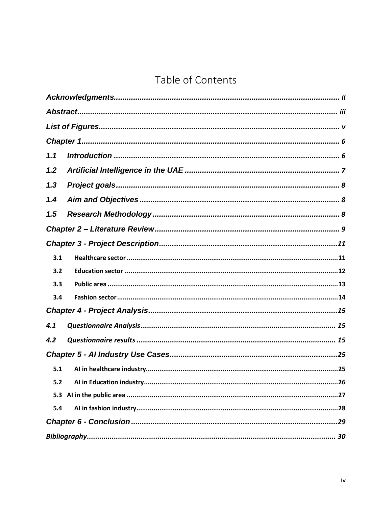## Table of Contents

| 1.1 |  |  |  |  |
|-----|--|--|--|--|
| 1.2 |  |  |  |  |
| 1.3 |  |  |  |  |
| 1.4 |  |  |  |  |
| 1.5 |  |  |  |  |
|     |  |  |  |  |
|     |  |  |  |  |
| 3.1 |  |  |  |  |
| 3.2 |  |  |  |  |
| 3.3 |  |  |  |  |
| 3.4 |  |  |  |  |
|     |  |  |  |  |
| 4.1 |  |  |  |  |
| 4.2 |  |  |  |  |
|     |  |  |  |  |
| 5.1 |  |  |  |  |
| 5.2 |  |  |  |  |
| 5.3 |  |  |  |  |
| 5.4 |  |  |  |  |
|     |  |  |  |  |
|     |  |  |  |  |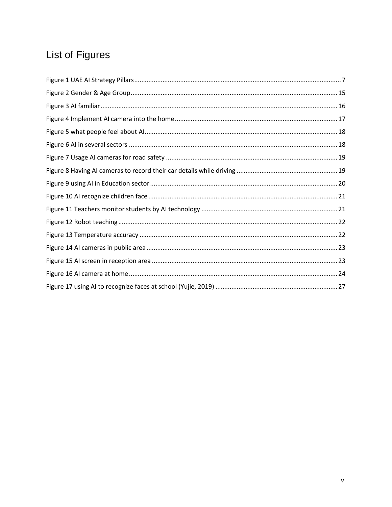# <span id="page-6-0"></span>List of Figures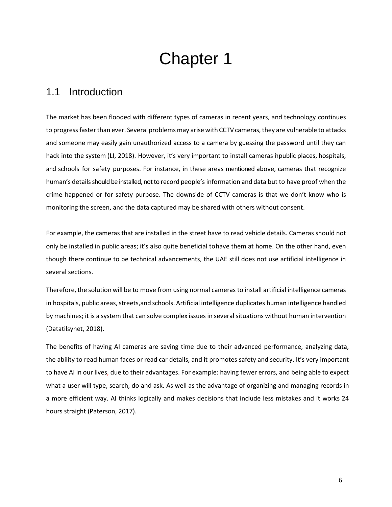# Chapter 1

## <span id="page-7-1"></span><span id="page-7-0"></span>1.1 Introduction

The market has been flooded with different types of cameras in recent years, and technology continues to progress faster than ever. Several problems may arise with CCTV cameras, they are vulnerable to attacks and someone may easily gain unauthorized access to a camera by guessing the password until they can hack into the system (LI, 2018). However, it's very important to install cameras in public places, hospitals, and schools for safety purposes. For instance, in these areas mentioned above, cameras that recognize human's details should be installed, not to record people's information and data but to have proof when the crime happened or for safety purpose. The downside of CCTV cameras is that we don't know who is monitoring the screen, and the data captured may be shared with others without consent.

For example, the cameras that are installed in the street have to read vehicle details. Cameras should not only be installed in public areas; it's also quite beneficial to have them at home. On the other hand, even though there continue to be technical advancements, the UAE still does not use artificial intelligence in several sections.

Therefore, the solution will be to move from using normal cameras to install artificial intelligence cameras in hospitals, public areas, streets,and schools. Artificial intelligence duplicates human intelligence handled by machines; it is a system that can solve complex issues in severalsituations without human intervention (Datatilsynet, 2018).

The benefits of having AI cameras are saving time due to their advanced performance, analyzing data, the ability to read human faces or read car details, and it promotes safety and security. It's very important to have AI in our lives, due to their advantages. For example: having fewer errors, and being able to expect what a user will type, search, do and ask. As well as the advantage of organizing and managing records in a more efficient way. AI thinks logically and makes decisions that include less mistakes and it works 24 hours straight (Paterson, 2017).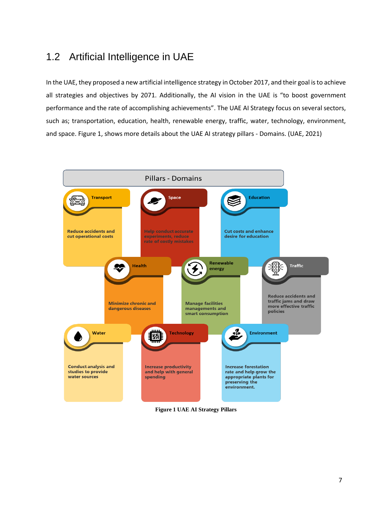## <span id="page-8-0"></span>1.2 Artificial Intelligence in UAE

In the UAE, they proposed a new artificial intelligence strategy in October 2017, and their goal isto achieve all strategies and objectives by 2071. Additionally, the AI vision in the UAE is "to boost government performance and the rate of accomplishing achievements". The UAE AI Strategy focus on several sectors, such as; transportation, education, health, renewable energy, traffic, water, technology, environment, and space. Figure 1, shows more details about the UAE AI strategy pillars - Domains. (UAE, 2021)



<span id="page-8-1"></span>**Figure 1 UAE AI Strategy Pillars**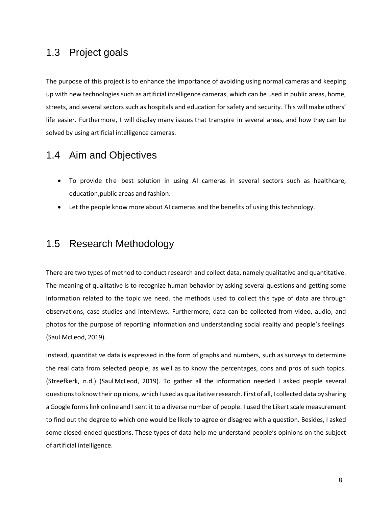## <span id="page-9-0"></span>1.3 Project goals

The purpose of this project is to enhance the importance of avoiding using normal cameras and keeping up with new technologies such as artificial intelligence cameras, which can be used in public areas, home, streets, and several sectors such as hospitals and education for safety and security. This will make others' life easier. Furthermore, I will display many issues that transpire in several areas, and how they can be solved by using artificial intelligence cameras.

## <span id="page-9-1"></span>1.4 Aim and Objectives

- To provide the best solution in using AI cameras in several sectors such as healthcare, education,public areas and fashion.
- Let the people know more about AI cameras and the benefits of using this technology.

## <span id="page-9-2"></span>1.5 Research Methodology

There are two types of method to conduct research and collect data, namely qualitative and quantitative. The meaning of qualitative is to recognize human behavior by asking several questions and getting some information related to the topic we need. the methods used to collect this type of data are through observations, case studies and interviews. Furthermore, data can be collected from video, audio, and photos for the purpose of reporting information and understanding social reality and people's feelings. (Saul McLeod, 2019).

Instead, quantitative data is expressed in the form of graphs and numbers, such as surveys to determine the real data from selected people, as well as to know the percentages, cons and pros of such topics. (Streefkerk, n.d.) (Saul McLeod, 2019). To gather all the information needed I asked people several questionsto know their opinions, which I used as qualitative research. First of all, I collected data by sharing a Google formslink online and I sent it to a diverse number of people. I used the Likert scale measurement to find out the degree to which one would be likely to agree or disagree with a question. Besides, I asked some closed-ended questions. These types of data help me understand people's opinions on the subject of artificial intelligence.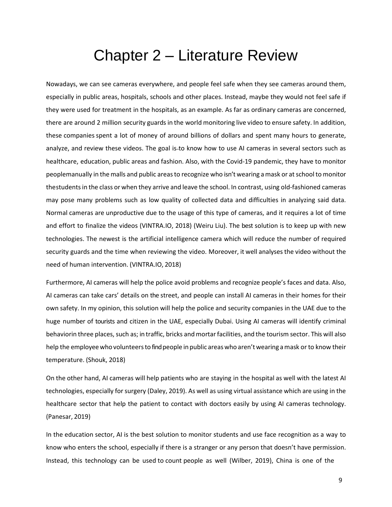# Chapter 2 – Literature Review

<span id="page-10-0"></span>Nowadays, we can see cameras everywhere, and people feel safe when they see cameras around them, especially in public areas, hospitals, schools and other places. Instead, maybe they would not feel safe if they were used for treatment in the hospitals, as an example. As far as ordinary cameras are concerned, there are around 2 million security guards in the world monitoring live video to ensure safety. In addition, these companies spent a lot of money of around billions of dollars and spent many hours to generate, analyze, and review these videos. The goal is-to know how to use AI cameras in several sectors such as healthcare, education, public areas and fashion. Also, with the Covid-19 pandemic, they have to monitor peoplemanually in the malls and public areas to recognize who isn't wearing a mask or at school to monitor the studentsin the class or when they arrive and leave the school. In contrast, using old-fashioned cameras may pose many problems such as low quality of collected data and difficulties in analyzing said data. Normal cameras are unproductive due to the usage of this type of cameras, and it requires a lot of time and effort to finalize the videos (VINTRA.IO, 2018) (Weiru Liu). The best solution is to keep up with new technologies. The newest is the artificial intelligence camera which will reduce the number of required security guards and the time when reviewing the video. Moreover, it well analysesthe video without the need of human intervention. (VINTRA.IO, 2018)

Furthermore, AI cameras will help the police avoid problems and recognize people's faces and data. Also, AI cameras can take cars' details on the street, and people can install AI cameras in their homes for their own safety. In my opinion, this solution will help the police and security companies in the UAE due to the huge number of tourists and citizen in the UAE, especially Dubai. Using AI cameras will identify criminal behaviorin three places, such as; in traffic, bricks and mortar facilities, and the tourism sector. This will also help the employee whovolunteersto find people in public areaswho aren't wearing amask or to know their temperature. (Shouk, 2018)

On the other hand, AI cameras will help patients who are staying in the hospital as well with the latest AI technologies, especially for surgery (Daley, 2019). As well as using virtual assistance which are using in the healthcare sector that help the patient to contact with doctors easily by using AI cameras technology. (Panesar, 2019)

In the education sector, AI is the best solution to monitor students and use face recognition as a way to know who enters the school, especially if there is a stranger or any person that doesn't have permission. Instead, this technology can be used to count people as well (Wilber, 2019), China is one of the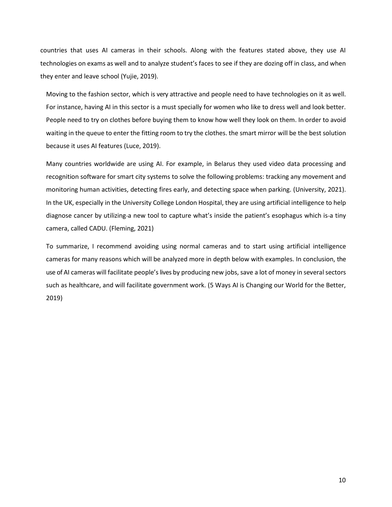countries that uses AI cameras in their schools. Along with the features stated above, they use AI technologies on exams as well and to analyze student's faces to see if they are dozing off in class, and when they enter and leave school (Yujie, 2019).

Moving to the fashion sector, which is very attractive and people need to have technologies on it as well. For instance, having AI in this sector is a must specially for women who like to dress well and look better. People need to try on clothes before buying them to know how well they look on them. In order to avoid waiting in the queue to enter the fitting room to try the clothes. the smart mirror will be the best solution because it uses AI features (Luce, 2019).

Many countries worldwide are using AI. For example, in Belarus they used video data processing and recognition software for smart city systems to solve the following problems: tracking any movement and monitoring human activities, detecting fires early, and detecting space when parking. (University, 2021). In the UK, especially in the University College London Hospital, they are using artificial intelligence to help diagnose cancer by utilizing-a new tool to capture what's inside the patient's esophagus which is-a tiny camera, called CADU. (Fleming, 2021)

To summarize, I recommend avoiding using normal cameras and to start using artificial intelligence cameras for many reasons which will be analyzed more in depth below with examples. In conclusion, the use of AI cameras will facilitate people's lives by producing new jobs, save a lot of money in severalsectors such as healthcare, and will facilitate government work. (5 Ways AI is Changing our World for the Better, 2019)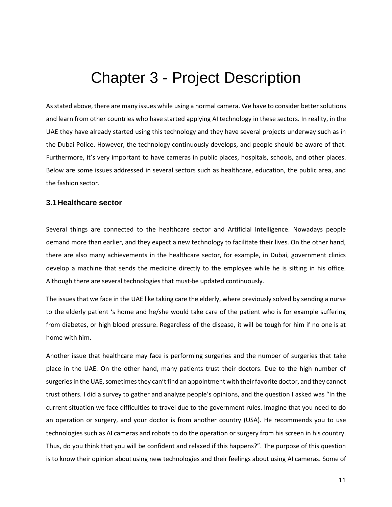# Chapter 3 - Project Description

<span id="page-12-0"></span>As stated above, there are many issues while using a normal camera. We have to consider better solutions and learn from other countries who have started applying AI technology in these sectors. In reality, in the UAE they have already started using this technology and they have several projects underway such as in the Dubai Police. However, the technology continuously develops, and people should be aware of that. Furthermore, it's very important to have cameras in public places, hospitals, schools, and other places. Below are some issues addressed in several sectors such as healthcare, education, the public area, and the fashion sector.

#### <span id="page-12-1"></span>**3.1Healthcare sector**

Several things are connected to the healthcare sector and Artificial Intelligence. Nowadays people demand more than earlier, and they expect a new technology to facilitate their lives. On the other hand, there are also many achievements in the healthcare sector, for example, in Dubai, government clinics develop a machine that sends the medicine directly to the employee while he is sitting in his office. Although there are several technologies that must be updated continuously.

The issues that we face in the UAE like taking care the elderly, where previously solved by sending a nurse to the elderly patient 's home and he/she would take care of the patient who is for example suffering from diabetes, or high blood pressure. Regardless of the disease, it will be tough for him if no one is at home with him.

Another issue that healthcare may face is performing surgeries and the number of surgeries that take place in the UAE. On the other hand, many patients trust their doctors. Due to the high number of surgeries in the UAE, sometimes they can't find an appointment with their favorite doctor, and they cannot trust others. I did a survey to gather and analyze people's opinions, and the question I asked was "In the current situation we face difficulties to travel due to the government rules. Imagine that you need to do an operation or surgery, and your doctor is from another country (USA). He recommends you to use technologies such as AI cameras and robots to do the operation or surgery from his screen in his country. Thus, do you think that you will be confident and relaxed if this happens?". The purpose of this question is to know their opinion about using new technologies and their feelings about using AI cameras. Some of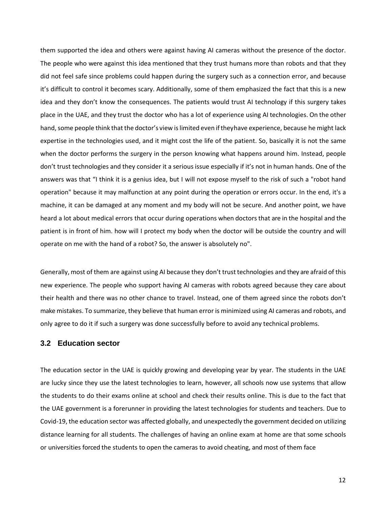them supported the idea and others were against having AI cameras without the presence of the doctor. The people who were against this idea mentioned that they trust humans more than robots and that they did not feel safe since problems could happen during the surgery such as a connection error, and because it's difficult to control it becomes scary. Additionally, some of them emphasized the fact that this is a new idea and they don't know the consequences. The patients would trust AI technology if this surgery takes place in the UAE, and they trust the doctor who has a lot of experience using AI technologies. On the other hand, some people think that the doctor's view is limited even if they have experience, because he might lack expertise in the technologies used, and it might cost the life of the patient. So, basically it is not the same when the doctor performs the surgery in the person knowing what happens around him. Instead, people don't trust technologies and they consider it a serious issue especially if it's not in human hands. One of the answers was that "I think it is a genius idea, but I will not expose myself to the risk of such a "robot hand operation" because it may malfunction at any point during the operation or errors occur. In the end, it's a machine, it can be damaged at any moment and my body will not be secure. And another point, we have heard a lot about medical errors that occur during operations when doctors that are in the hospital and the patient is in front of him. how will I protect my body when the doctor will be outside the country and will operate on me with the hand of a robot? So, the answer is absolutely no".

Generally, most of them are against using AI because they don't trust technologies and they are afraid of this new experience. The people who support having AI cameras with robots agreed because they care about their health and there was no other chance to travel. Instead, one of them agreed since the robots don't make mistakes. To summarize, they believe that human error is minimized using AI cameras and robots, and only agree to do it if such a surgery was done successfully before to avoid any technical problems.

#### <span id="page-13-0"></span>**3.2 Education sector**

The education sector in the UAE is quickly growing and developing year by year. The students in the UAE are lucky since they use the latest technologies to learn, however, all schools now use systems that allow the students to do their exams online at school and check their results online. This is due to the fact that the UAE government is a forerunner in providing the latest technologies for students and teachers. Due to Covid-19, the education sector was affected globally, and unexpectedly the government decided on utilizing distance learning for all students. The challenges of having an online exam at home are that some schools or universities forced the students to open the cameras to avoid cheating, and most of them face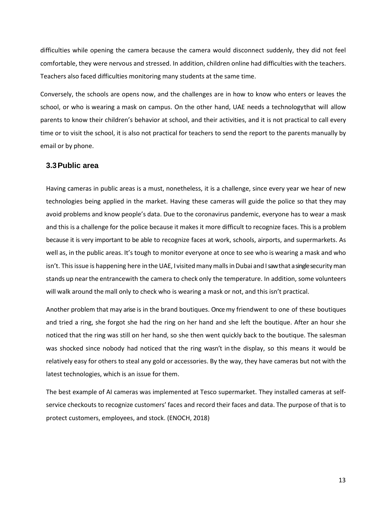difficulties while opening the camera because the camera would disconnect suddenly, they did not feel comfortable, they were nervous and stressed. In addition, children online had difficulties with the teachers. Teachers also faced difficulties monitoring many students at the same time.

Conversely, the schools are opens now, and the challenges are in how to know who enters or leaves the school, or who is wearing a mask on campus. On the other hand, UAE needs a technologythat will allow parents to know their children's behavior at school, and their activities, and it is not practical to call every time or to visit the school, it is also not practical for teachers to send the report to the parents manually by email or by phone.

#### <span id="page-14-0"></span>**3.3Public area**

Having cameras in public areas is a must, nonetheless, it is a challenge, since every year we hear of new technologies being applied in the market. Having these cameras will guide the police so that they may avoid problems and know people's data. Due to the coronavirus pandemic, everyone has to wear a mask and this is a challenge for the police because it makes it more difficult to recognize faces. This is a problem because it is very important to be able to recognize faces at work, schools, airports, and supermarkets. As well as, in the public areas. It's tough to monitor everyone at once to see who is wearing a mask and who isn't. This issue is happening here in the UAE, I visited many malls in Dubai and I saw that asingle security man stands up nearthe entrancewith the camera to check only the temperature. In addition, some volunteers will walk around the mall only to check who is wearing a mask or not, and this isn't practical.

Another problem that may arise is in the brand boutiques. Once my friend went to one of these boutiques and tried a ring, she forgot she had the ring on her hand and she left the boutique. After an hour she noticed that the ring was still on her hand, so she then went quickly back to the boutique. The salesman was shocked since nobody had noticed that the ring wasn't in the display, so this means it would be relatively easy for others to steal any gold or accessories. By the way, they have cameras but not with the latest technologies, which is an issue for them.

The best example of AI cameras was implemented at Tesco supermarket. They installed cameras at selfservice checkouts to recognize customers' faces and record their faces and data. The purpose of that is to protect customers, employees, and stock. (ENOCH, 2018)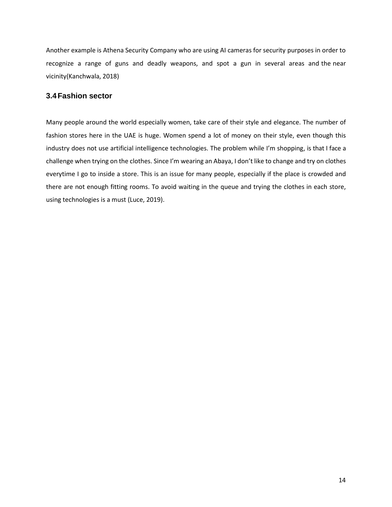Another example is Athena Security Company who are using AI cameras for security purposes in order to recognize a range of guns and deadly weapons, and spot a gun in several areas and the near vicinity(Kanchwala, 2018)

#### <span id="page-15-0"></span>**3.4Fashion sector**

Many people around the world especially women, take care of their style and elegance. The number of fashion stores here in the UAE is huge. Women spend a lot of money on their style, even though this industry does not use artificial intelligence technologies. The problem while I'm shopping, is that I face a challenge when trying on the clothes. Since I'm wearing an Abaya, I don't like to change and try on clothes everytime I go to inside a store. This is an issue for many people, especially if the place is crowded and there are not enough fitting rooms. To avoid waiting in the queue and trying the clothes in each store, using technologies is a must (Luce, 2019).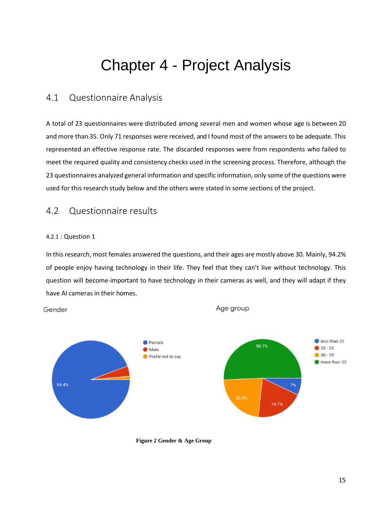# Chapter 4 - Project Analysis

### <span id="page-16-1"></span><span id="page-16-0"></span>4.1 Questionnaire Analysis

A total of 23 questionnaires were distributed among several men and women whose age is between 20 and more than 35. Only 71 responses were received, and I found most of the answers to be adequate. This represented an effective response rate. The discarded responses were from respondents who failed to meet the required quality and consistency checks used in the screening process. Therefore, although the 23 questionnaires analyzed general information and specific information, only some of the questions were used for this research study below and the others were stated in some sections of the project.

### <span id="page-16-2"></span>4.2 Questionnaire results

#### 4.2.1 : Question 1

Gender

In this research, most females answered the questions, and their ages are mostly above 30. Mainly, 94.2% of people enjoy having technology in their life. They feel that they can't live without technology. This question will become important to have technology in their cameras as well, and they will adapt if they have AI cameras in their homes.

Age group



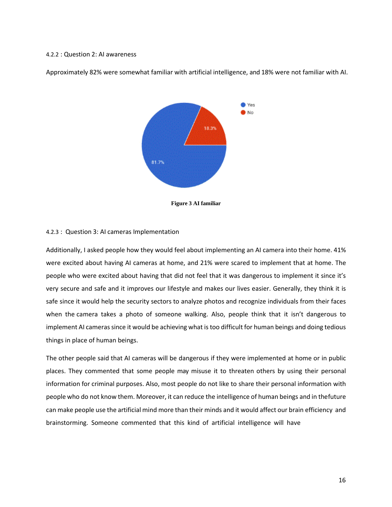#### 4.2.2 : Question 2: AI awareness

Approximately 82% were somewhat familiar with artificial intelligence, and 18% were not familiar with AI.



**Figure 3 AI familiar**

#### <span id="page-17-0"></span>4.2.3 : Question 3: AI cameras Implementation

Additionally, I asked people how they would feel about implementing an AI camera into their home. 41% were excited about having AI cameras at home, and 21% were scared to implement that at home. The people who were excited about having that did not feel that it was dangerous to implement it since it's very secure and safe and it improves our lifestyle and makes our lives easier. Generally, they think it is safe since it would help the security sectors to analyze photos and recognize individuals from their faces when the camera takes a photo of someone walking. Also, people think that it isn't dangerous to implement AI cameras since it would be achieving what is too difficult for human beings and doing tedious things in place of human beings.

The other people said that AI cameras will be dangerous if they were implemented at home or in public places. They commented that some people may misuse it to threaten others by using their personal information for criminal purposes. Also, most people do not like to share their personal information with people who do not know them. Moreover, it can reduce the intelligence of human beings and in thefuture can make people use the artificial mind more than their minds and it would affect our brain efficiency and brainstorming. Someone commented that this kind of artificial intelligence will have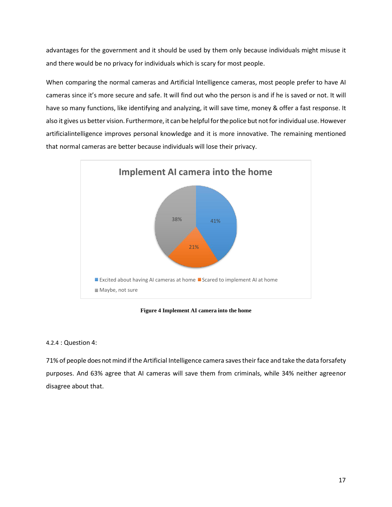advantages for the government and it should be used by them only because individuals might misuse it and there would be no privacy for individuals which is scary for most people.

When comparing the normal cameras and Artificial Intelligence cameras, most people prefer to have AI cameras since it's more secure and safe. It will find out who the person is and if he is saved or not. It will have so many functions, like identifying and analyzing, it will save time, money & offer a fast response. It also it gives us better vision. Furthermore, it can be helpful for the police but not for individual use. However artificialintelligence improves personal knowledge and it is more innovative. The remaining mentioned that normal cameras are better because individuals will lose their privacy.



**Figure 4 Implement AI camera into the home**

#### <span id="page-18-0"></span>4.2.4 : Question 4:

71% of people does not mind ifthe Artificial Intelligence camera savestheirface and take the data forsafety purposes. And 63% agree that AI cameras will save them from criminals, while 34% neither agreenor disagree about that.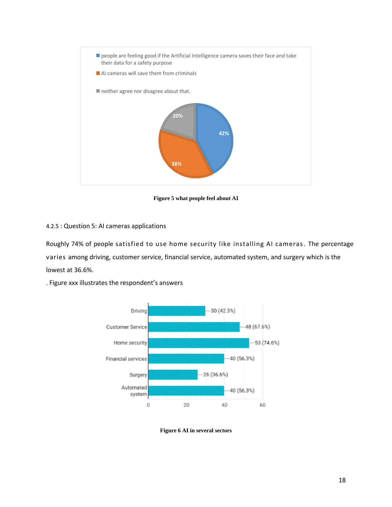

**Figure 5 what people feel about AI**

#### <span id="page-19-0"></span>4.2.5 : Question 5: AI cameras applications

Roughly 74% of people satisfied to use home security like installing AI cameras. The percentage varies among driving, customer service, financial service, automated system, and surgery which is the lowest at 36.6%.



. Figure xxx illustrates the respondent's answers

<span id="page-19-1"></span>**Figure 6 AI in several sectors**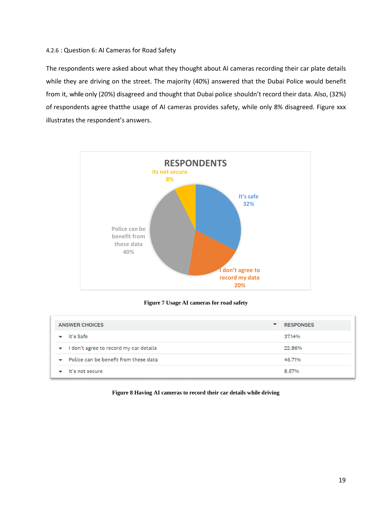#### 4.2.6 : Question 6: AI Cameras for Road Safety

The respondents were asked about what they thought about AI cameras recording their car plate details while they are driving on the street. The majority (40%) answered that the Dubai Police would benefit from it, while only (20%) disagreed and thought that Dubai police shouldn't record their data. Also, (32%) of respondents agree thatthe usage of AI cameras provides safety, while only 8% disagreed. Figure xxx illustrates the respondent's answers.



#### **Figure 7 Usage AI cameras for road safety**

<span id="page-20-0"></span>

| <b>ANSWER CHOICES</b><br>▼                                        |  | <b>RESPONSES</b> |
|-------------------------------------------------------------------|--|------------------|
| it's Safe                                                         |  | 37.14%           |
| don't agree to record my car details<br>$\blacktriangledown$      |  | 22.86%           |
| Police can be benefit from these data<br>$\overline{\phantom{0}}$ |  | 45.71%           |
| It's not secure                                                   |  | 8.57%            |

#### <span id="page-20-1"></span>**Figure 8 Having AI cameras to record their car details while driving**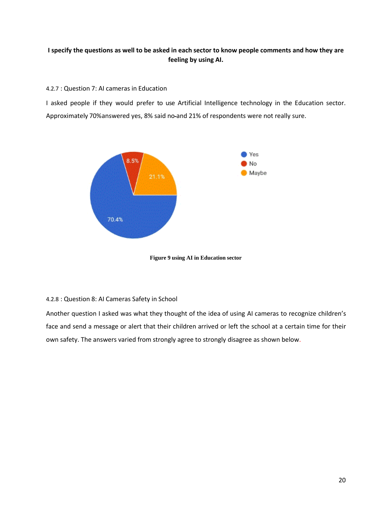#### I specify the questions as well to be asked in each sector to know people comments and how they are **feeling by using AI.**

#### 4.2.7 : Question 7: AI cameras in Education

I asked people if they would prefer to use Artificial Intelligence technology in the Education sector. Approximately 70%answered yes, 8% said no and 21% of respondents were not really sure.



**Figure 9 using AI in Education sector**

#### <span id="page-21-0"></span>4.2.8 : Question 8: AI Cameras Safety in School

Another question I asked was what they thought of the idea of using AI cameras to recognize children's face and send a message or alert that their children arrived or left the school at a certain time for their own safety. The answers varied from strongly agree to strongly disagree as shown below.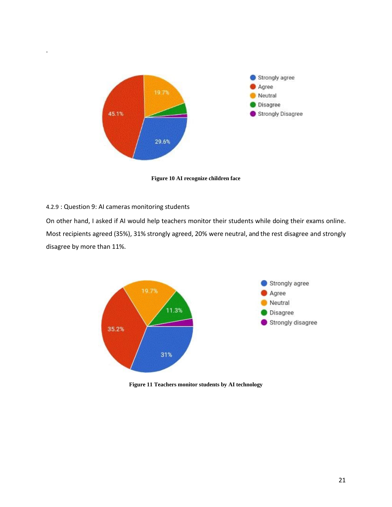

**Figure 10 AI recognize children face**

#### <span id="page-22-0"></span>4.2.9 : Question 9: AI cameras monitoring students

.

On other hand, I asked if AI would help teachers monitor their students while doing their exams online. Most recipients agreed (35%), 31% strongly agreed, 20% were neutral, and the rest disagree and strongly disagree by more than 11%.



<span id="page-22-1"></span>**Figure 11 Teachers monitor students by AI technology**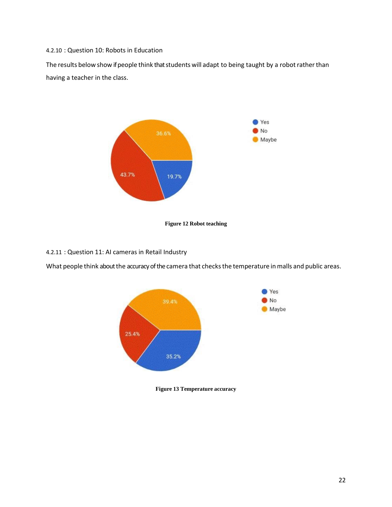4.2.10 : Question 10: Robots in Education

The results below show if people think that students will adapt to being taught by a robot rather than having a teacher in the class.



**Figure 12 Robot teaching**

<span id="page-23-0"></span>4.2.11 : Question 11: AI cameras in Retail Industry

What people think about the accuracy of the camera that checks the temperature in malls and public areas.



<span id="page-23-1"></span>**Figure 13 Temperature accuracy**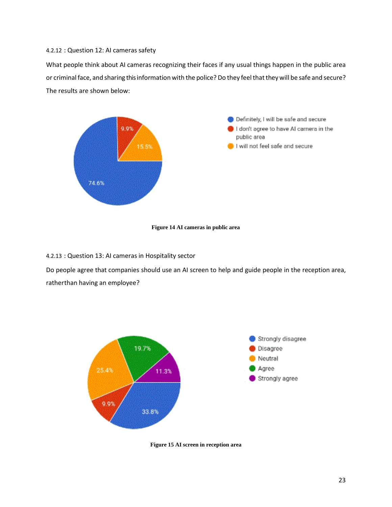#### 4.2.12 : Question 12: AI cameras safety

What people think about AI cameras recognizing their faces if any usual things happen in the public area or criminal face, and sharing this information with the police? Do they feel that they will be safe and secure? The results are shown below:



#### **Figure 14 AI cameras in public area**

<span id="page-24-0"></span>4.2.13 : Question 13: AI cameras in Hospitality sector

Do people agree that companies should use an AI screen to help and guide people in the reception area, rather than having an employee?



<span id="page-24-1"></span>**Figure 15 AI screen in reception area**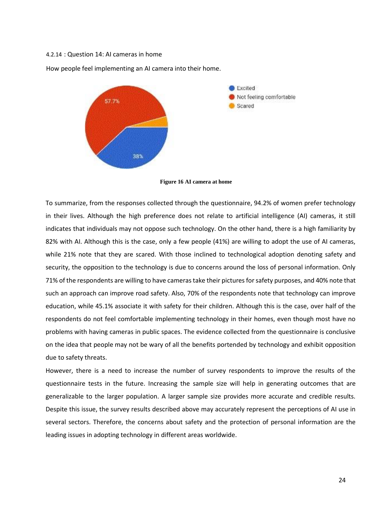#### 4.2.14 : Question 14: AI cameras in home

How people feel implementing an AI camera into their home.





<span id="page-25-0"></span>To summarize, from the responses collected through the questionnaire, 94.2% of women prefer technology in their lives. Although the high preference does not relate to artificial intelligence (AI) cameras, it still indicates that individuals may not oppose such technology. On the other hand, there is a high familiarity by 82% with AI. Although this is the case, only a few people (41%) are willing to adopt the use of AI cameras, while 21% note that they are scared. With those inclined to technological adoption denoting safety and security, the opposition to the technology is due to concerns around the loss of personal information. Only 71% of the respondents are willing to have cameras take their pictures for safety purposes, and 40% note that such an approach can improve road safety. Also, 70% of the respondents note that technology can improve education, while 45.1% associate it with safety for their children. Although this is the case, over half of the respondents do not feel comfortable implementing technology in their homes, even though most have no problems with having cameras in public spaces. The evidence collected from the questionnaire is conclusive on the idea that people may not be wary of all the benefits portended by technology and exhibit opposition due to safety threats.

However, there is a need to increase the number of survey respondents to improve the results of the questionnaire tests in the future. Increasing the sample size will help in generating outcomes that are generalizable to the larger population. A larger sample size provides more accurate and credible results. Despite this issue, the survey results described above may accurately represent the perceptions of AI use in several sectors. Therefore, the concerns about safety and the protection of personal information are the leading issues in adopting technology in different areas worldwide.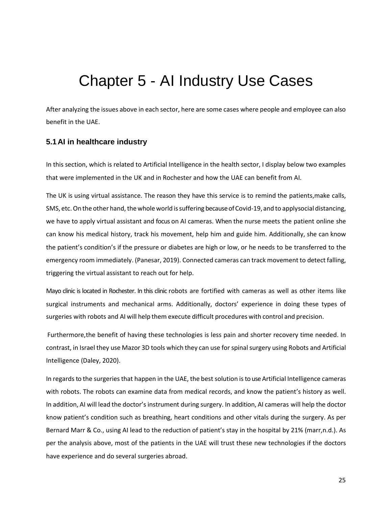# Chapter 5 - AI Industry Use Cases

<span id="page-26-0"></span>After analyzing the issues above in each sector, here are some cases where people and employee can also benefit in the UAE.

#### <span id="page-26-1"></span>**5.1AI in healthcare industry**

In this section, which is related to Artificial Intelligence in the health sector, I display below two examples that were implemented in the UK and in Rochester and how the UAE can benefit from AI.

The UK is using virtual assistance. The reason they have this service is to remind the patients,make calls, SMS, etc. On the other hand, the whole world is suffering because of Covid-19, and to applysocial distancing, we have to apply virtual assistant and focus on AI cameras. When the nurse meets the patient online she can know his medical history, track his movement, help him and guide him. Additionally, she can know the patient's condition's if the pressure or diabetes are high or low, or he needs to be transferred to the emergency room immediately. (Panesar, 2019). Connected cameras can track movement to detect falling, triggering the virtual assistant to reach out for help.

Mayo clinic is located in Rochester. In this clinic robots are fortified with cameras as well as other items like surgical instruments and mechanical arms. Additionally, doctors' experience in doing these types of surgeries with robots and AI will help them execute difficult procedures with control and precision.

Furthermore,the benefit of having these technologies is less pain and shorter recovery time needed. In contrast, in Israel they use Mazor 3D tools which they can use for spinal surgery using Robots and Artificial Intelligence (Daley, 2020).

In regards to the surgeries that happen in the UAE, the best solution isto use Artificial Intelligence cameras with robots. The robots can examine data from medical records, and know the patient's history as well. In addition, AI will lead the doctor's instrument during surgery. In addition, AI cameras will help the doctor know patient's condition such as breathing, heart conditions and other vitals during the surgery. As per Bernard Marr & Co., using AI lead to the reduction of patient's stay in the hospital by 21% (marr,n.d.). As per the analysis above, most of the patients in the UAE will trust these new technologies if the doctors have experience and do several surgeries abroad.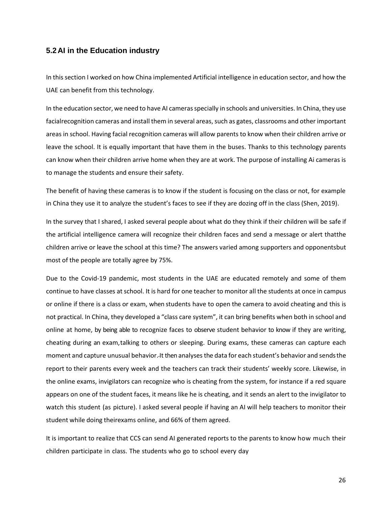#### <span id="page-27-0"></span>**5.2AI in the Education industry**

In this section I worked on how China implemented Artificial intelligence in education sector, and how the UAE can benefit from this technology.

In the education sector, we need to have AI cameras specially in schools and universities. In China, they use facialrecognition cameras and install them in several areas, such as gates, classrooms and other important areas in school. Having facial recognition cameras will allow parents to know when their children arrive or leave the school. It is equally important that have them in the buses. Thanks to this technology parents can know when their children arrive home when they are at work. The purpose of installing Ai cameras is to manage the students and ensure their safety.

The benefit of having these cameras is to know if the student is focusing on the class or not, for example in China they use it to analyze the student's faces to see if they are dozing off in the class (Shen, 2019).

In the survey that I shared, I asked several people about what do they think if their children will be safe if the artificial intelligence camera will recognize their children faces and send a message or alert thatthe children arrive or leave the school at this time? The answers varied among supporters and opponentsbut most of the people are totally agree by 75%.

Due to the Covid-19 pandemic, most students in the UAE are educated remotely and some of them continue to have classes at school. It is hard for one teacher to monitor all the students at once in campus or online if there is a class or exam, when students have to open the camera to avoid cheating and this is not practical. In China, they developed a "class care system", it can bring benefits when both in school and online at home, by being able to recognize faces to observe student behavior to know if they are writing, cheating during an exam,talking to others or sleeping. During exams, these cameras can capture each moment and capture unusual behavior. It then analyses the data for each student's behavior and sends the report to their parents every week and the teachers can track their students' weekly score. Likewise, in the online exams, invigilators can recognize who is cheating from the system, for instance if a red square appears on one of the student faces, it means like he is cheating, and it sends an alert to the invigilator to watch this student (as picture). I asked several people if having an AI will help teachers to monitor their student while doing theirexams online, and 66% of them agreed.

It is important to realize that CCS can send AI generated reports to the parents to know how much their children participate in class. The students who go to school every day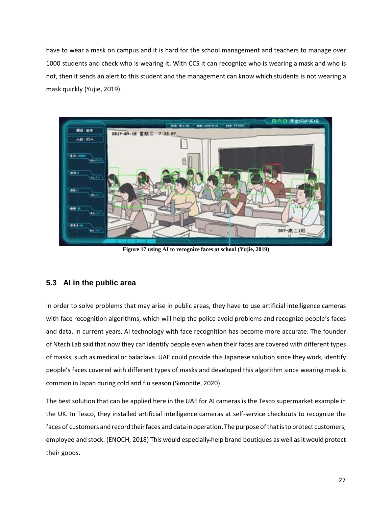have to wear a mask on campus and it is hard for the school management and teachers to manage over 1000 students and check who is wearing it. With CCS it can recognize who is wearing a mask and who is not, then it sends an alert to this student and the management can know which students is not wearing a mask quickly (Yujie, 2019).



**Figure 17 using AI to recognize faces at school (Yujie, 2019)**

#### <span id="page-28-1"></span><span id="page-28-0"></span>**5.3 AI in the public area**

In order to solve problems that may arise in public areas, they have to use artificial intelligence cameras with face recognition algorithms, which will help the police avoid problems and recognize people's faces and data. In current years, AI technology with face recognition has become more accurate. The founder of Ntech Lab said that now they can identify people even when their faces are covered with different types of masks, such as medical or balaclava. UAE could provide this Japanese solution since they work, identify people's faces covered with different types of masks and developed this algorithm since wearing mask is common in Japan during cold and flu season (Simonite, 2020)

The best solution that can be applied here in the UAE for AI cameras is the Tesco supermarket example in the UK. In Tesco, they installed artificial intelligence cameras at self-service checkouts to recognize the faces of customers and record their faces and data in operation. The purpose of that is to protect customers, employee and stock. (ENOCH, 2018) This would especially help brand boutiques as well as it would protect their goods.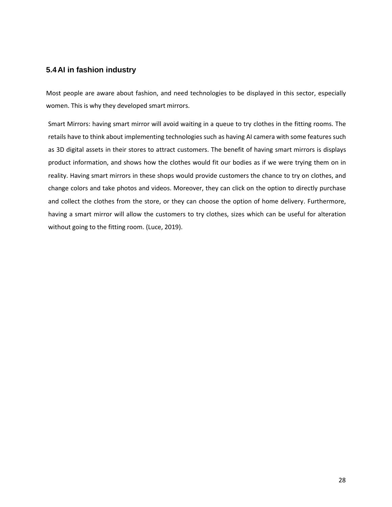#### <span id="page-29-0"></span>**5.4AI in fashion industry**

Most people are aware about fashion, and need technologies to be displayed in this sector, especially women. This is why they developed smart mirrors.

Smart Mirrors: having smart mirror will avoid waiting in a queue to try clothes in the fitting rooms. The retails have to think about implementing technologies such as having AI camera with some features such as 3D digital assets in their stores to attract customers. The benefit of having smart mirrors is displays product information, and shows how the clothes would fit our bodies as if we were trying them on in reality. Having smart mirrors in these shops would provide customers the chance to try on clothes, and change colors and take photos and videos. Moreover, they can click on the option to directly purchase and collect the clothes from the store, or they can choose the option of home delivery. Furthermore, having a smart mirror will allow the customers to try clothes, sizes which can be useful for alteration without going to the fitting room. (Luce, 2019).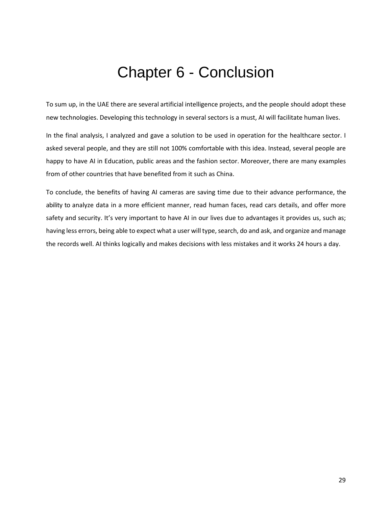# Chapter 6 - Conclusion

<span id="page-30-0"></span>To sum up, in the UAE there are several artificial intelligence projects, and the people should adopt these new technologies. Developing this technology in several sectors is a must, AI will facilitate human lives.

In the final analysis, I analyzed and gave a solution to be used in operation for the healthcare sector. I asked several people, and they are still not 100% comfortable with this idea. Instead, several people are happy to have AI in Education, public areas and the fashion sector. Moreover, there are many examples from of other countries that have benefited from it such as China.

To conclude, the benefits of having AI cameras are saving time due to their advance performance, the ability to analyze data in a more efficient manner, read human faces, read cars details, and offer more safety and security. It's very important to have AI in our lives due to advantages it provides us, such as; having less errors, being able to expect what a user will type, search, do and ask, and organize and manage the records well. AI thinks logically and makes decisions with less mistakes and it works 24 hours a day.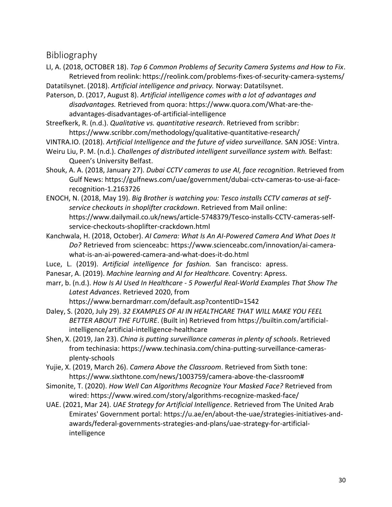## <span id="page-31-0"></span>Bibliography

LI, A. (2018, OCTOBER 18). *Top 6 Common Problems of Security Camera Systems and How to Fix*. Retrieved from reolink: https://reolink.com/problems-fixes-of-security-camera-systems/

Datatilsynet. (2018). *Artificial intelligence and privacy.* Norway: Datatilsynet.

Paterson, D. (2017, August 8). *Artificial intelligence comes with a lot of advantages and disadvantages.* Retrieved from quora: https:/[/www.quora.com/What-are-the](http://www.quora.com/What-are-the-)advantages-disadvantages-of-artificial-intelligence

Streefkerk, R. (n.d.). *Qualitative vs. quantitative research*. Retrieved from scribbr: https:/[/www.scribbr.com/methodology/qualitative-quantitative-research/](http://www.scribbr.com/methodology/qualitative-quantitative-research/)

VINTRA.IO. (2018). *Artificial Intelligence and the future of video surveillance.* SAN JOSE: Vintra.

Weiru Liu, P. M. (n.d.). *Challenges of distributed intelligent surveillance system with.* Belfast: Queen's University Belfast.

Shouk, A. A. (2018, January 27). *Dubai CCTV cameras to use AI, face recognition*. Retrieved from Gulf News: https://gulfnews.com/uae/government/dubai-cctv-cameras-to-use-ai-facerecognition-1.2163726

ENOCH, N. (2018, May 19). *Big Brother is watching you: Tesco installs CCTV cameras at selfservice checkouts in shoplifter crackdown*. Retrieved from Mail online: https:/[/www.dailymail.co.uk/news/article-5748379/Tesco-installs-CCTV-cameras-self](http://www.dailymail.co.uk/news/article-5748379/Tesco-installs-CCTV-cameras-self-)service-checkouts-shoplifter-crackdown.html

- Kanchwala, H. (2018, October). *AI Camera: What Is An AI-Powered Camera And What Does It Do?* Retrieved from scienceabc: https:/[/www.scienceabc.com/innovation/ai-camera](http://www.scienceabc.com/innovation/ai-camera-)what-is-an-ai-powered-camera-and-what-does-it-do.html
- Luce, L. (2019). *Artificial intelligence for fashion.* San francisco: apress.
- Panesar, A. (2019). *Machine learning and AI for Healthcare.* Coventry: Apress.
- marr, b. (n.d.). *How Is AI Used In Healthcare - 5 Powerful Real-World Examples That Show The Latest Advances*. Retrieved 2020, from

https:/[/www.bernardmarr.com/default.asp?contentID=1542](http://www.bernardmarr.com/default.asp?contentID=1542)

Daley, S. (2020, July 29). *32 EXAMPLES OF AI IN HEALTHCARE THAT WILL MAKE YOU FEEL BETTER ABOUT THE FUTURE*. (Built in) Retrieved from https://builtin.com/artificialintelligence/artificial-intelligence-healthcare

- Shen, X. (2019, Jan 23). *China is putting surveillance cameras in plenty of schools*. Retrieved from techinasia: https:/[/www.techinasia.com/china-putting-surveillance-cameras](http://www.techinasia.com/china-putting-surveillance-cameras-)plenty-schools
- Yujie, X. (2019, March 26). *Camera Above the Classroom*. Retrieved from Sixth tone: https:/[/www.sixthtone.com/news/1003759/camera-above-the-classroom#](http://www.sixthtone.com/news/1003759/camera-above-the-classroom)
- Simonite, T. (2020). *How Well Can Algorithms Recognize Your Masked Face?* Retrieved from wired: https:/[/www.wired.com/story/algorithms-recognize-masked-face/](http://www.wired.com/story/algorithms-recognize-masked-face/)

UAE. (2021, Mar 24). *UAE Strategy for Artificial Intelligence*. Retrieved from The United Arab Emirates' Government portal: https://u.ae/en/about-the-uae/strategies-initiatives-andawards/federal-governments-strategies-and-plans/uae-strategy-for-artificialintelligence